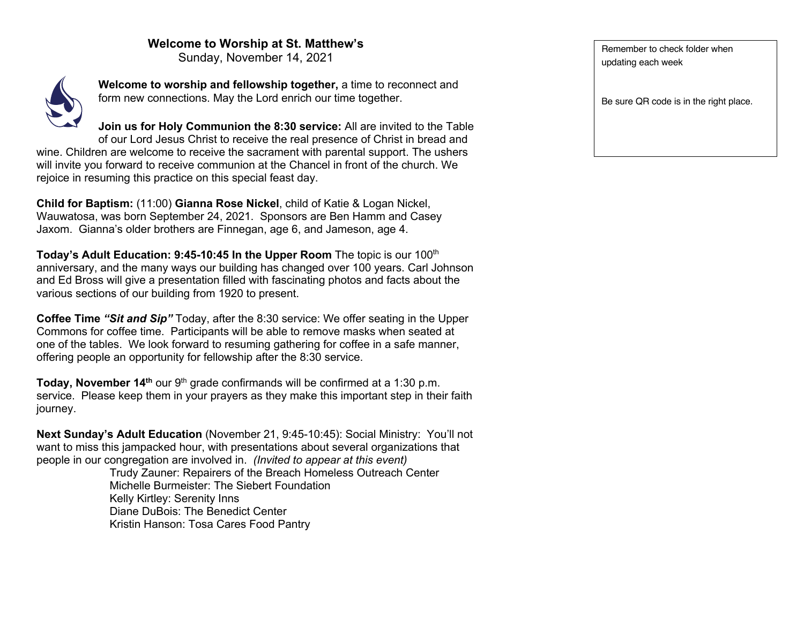## **Welcome to Worship at St. Matthew's**

Sunday, November 14, 2021



**Welcome to worship and fellowship together,** a time to reconnect and form new connections. May the Lord enrich our time together.

**Join us for Holy Communion the 8:30 service:** All are invited to the Table of our Lord Jesus Christ to receive the real presence of Christ in bread and wine. Children are welcome to receive the sacrament with parental support. The ushers will invite you forward to receive communion at the Chancel in front of the church. We rejoice in resuming this practice on this special feast day.

**Child for Baptism:** (11:00) **Gianna Rose Nickel**, child of Katie & Logan Nickel, Wauwatosa, was born September 24, 2021. Sponsors are Ben Hamm and Casey Jaxom. Gianna's older brothers are Finnegan, age 6, and Jameson, age 4.

**Today's Adult Education: 9:45-10:45 In the Upper Room** The topic is our 100<sup>th</sup> anniversary, and the many ways our building has changed over 100 years. Carl Johnson and Ed Bross will give a presentation filled with fascinating photos and facts about the various sections of our building from 1920 to present.

**Coffee Time** *"Sit and Sip"* Today, after the 8:30 service: We offer seating in the Upper Commons for coffee time. Participants will be able to remove masks when seated at one of the tables. We look forward to resuming gathering for coffee in a safe manner, offering people an opportunity for fellowship after the 8:30 service.

**Today, November 14th** our 9th grade confirmands will be confirmed at a 1:30 p.m. service. Please keep them in your prayers as they make this important step in their faith journey.

**Next Sunday's Adult Education** (November 21, 9:45-10:45): Social Ministry: You'll not want to miss this jampacked hour, with presentations about several organizations that people in our congregation are involved in. *(Invited to appear at this event)*

Trudy Zauner: Repairers of the Breach Homeless Outreach Center Michelle Burmeister: The Siebert Foundation Kelly Kirtley: Serenity Inns Diane DuBois: The Benedict Center Kristin Hanson: Tosa Cares Food Pantry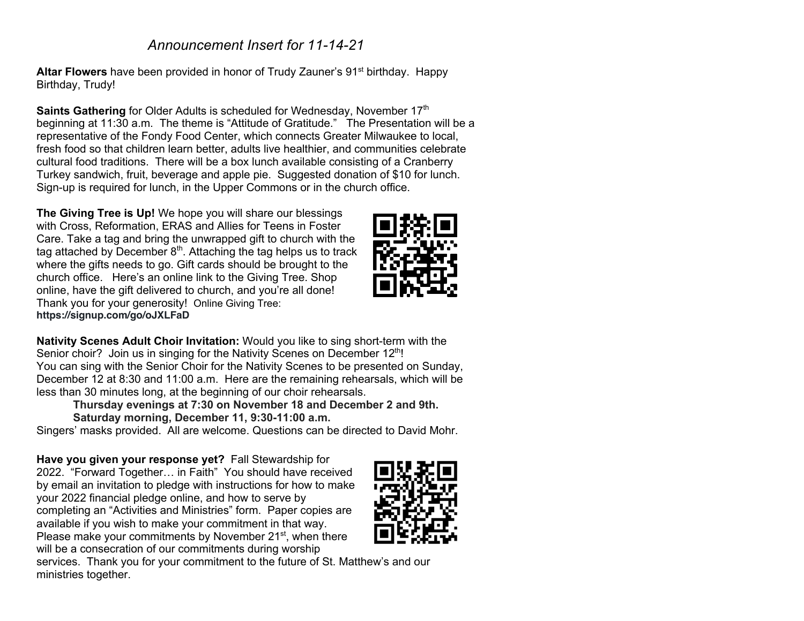## *Announcement Insert for 11-14-21*

**Altar Flowers** have been provided in honor of Trudy Zauner's 91<sup>st</sup> birthday. Happy Birthday, Trudy!

**Saints Gathering** for Older Adults is scheduled for Wednesday, November 17<sup>th</sup> beginning at 11:30 a.m. The theme is "Attitude of Gratitude." The Presentation will be a representative of the Fondy Food Center, which connects Greater Milwaukee to local, fresh food so that children learn better, adults live healthier, and communities celebrate cultural food traditions. There will be a box lunch available consisting of a Cranberry Turkey sandwich, fruit, beverage and apple pie. Suggested donation of \$10 for lunch. Sign-up is required for lunch, in the Upper Commons or in the church office.

**The Giving Tree is Up!** We hope you will share our blessings with Cross, Reformation, ERAS and Allies for Teens in Foster Care. Take a tag and bring the unwrapped gift to church with the tag attached by December  $8<sup>th</sup>$ . Attaching the tag helps us to track where the gifts needs to go. Gift cards should be brought to the church office. Here's an online link to the Giving Tree. Shop online, have the gift delivered to church, and you're all done! Thank you for your generosity! Online Giving Tree: **https://signup.com/go/oJXLFaD**

**Nativity Scenes Adult Choir Invitation:** Would you like to sing short-term with the Senior choir? Join us in singing for the Nativity Scenes on December 12<sup>th</sup>! You can sing with the Senior Choir for the Nativity Scenes to be presented on Sunday, December 12 at 8:30 and 11:00 a.m. Here are the remaining rehearsals, which will be less than 30 minutes long, at the beginning of our choir rehearsals.

**Thursday evenings at 7:30 on November 18 and December 2 and 9th. Saturday morning, December 11, 9:30-11:00 a.m.**

Singers' masks provided. All are welcome. Questions can be directed to David Mohr.

**Have you given your response yet?** Fall Stewardship for 2022. "Forward Together… in Faith" You should have received by email an invitation to pledge with instructions for how to make your 2022 financial pledge online, and how to serve by completing an "Activities and Ministries" form. Paper copies are available if you wish to make your commitment in that way. Please make your commitments by November 21<sup>st</sup>, when there will be a consecration of our commitments during worship



services. Thank you for your commitment to the future of St. Matthew's and our ministries together.

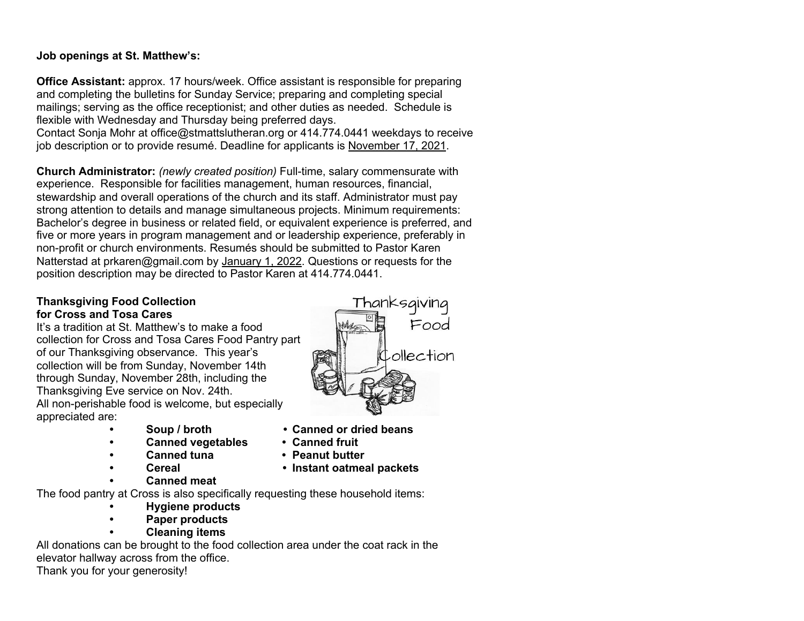## **Job openings at St. Matthew's:**

**Office Assistant:** approx. 17 hours/week. Office assistant is responsible for preparing and completing the bulletins for Sunday Service; preparing and completing special mailings; serving as the office receptionist; and other duties as needed. Schedule is flexible with Wednesday and Thursday being preferred days.

Contact Sonja Mohr at office@stmattslutheran.org or 414.774.0441 weekdays to receive job description or to provide resumé. Deadline for applicants is November 17, 2021.

**Church Administrator:** *(newly created position)* Full-time, salary commensurate with experience. Responsible for facilities management, human resources, financial, stewardship and overall operations of the church and its staff. Administrator must pay strong attention to details and manage simultaneous projects. Minimum requirements: Bachelor's degree in business or related field, or equivalent experience is preferred, and five or more years in program management and or leadership experience, preferably in non-profit or church environments. Resumés should be submitted to Pastor Karen Natterstad at prkaren@gmail.com by January 1, 2022. Questions or requests for the position description may be directed to Pastor Karen at 414.774.0441.

## **Thanksgiving Food Collection for Cross and Tosa Cares**

It's a tradition at St. Matthew's to make a food collection for Cross and Tosa Cares Food Pantry part of our Thanksgiving observance. This year's collection will be from Sunday, November 14th through Sunday, November 28th, including the Thanksgiving Eve service on Nov. 24th. All non-perishable food is welcome, but especially appreciated are:

- 
- **• Canned vegetables • Canned fruit**
- 
- 
- **• Canned meat**



- **• Soup / broth • Canned or dried beans** 
	-
- **• Canned tuna • Peanut butter**
- **• Cereal • Instant oatmeal packets**

The food pantry at Cross is also specifically requesting these household items:

- **• Hygiene products**
- **• Paper products**
	- **• Cleaning items**

All donations can be brought to the food collection area under the coat rack in the elevator hallway across from the office.

Thank you for your generosity!